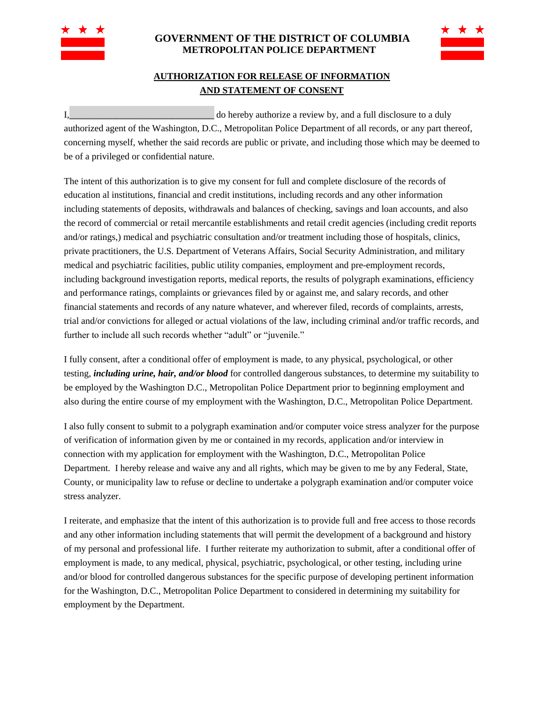

## **GOVERNMENT OF THE DISTRICT OF COLUMBIA METROPOLITAN POLICE DEPARTMENT**



## **AUTHORIZATION FOR RELEASE OF INFORMATION AND STATEMENT OF CONSENT**

I, the contract of the contract of the contract of the contract of the contract of the contract of the contract of the contract of the contract of the contract of the contract of the contract of the contract of the contrac authorized agent of the Washington, D.C., Metropolitan Police Department of all records, or any part thereof, concerning myself, whether the said records are public or private, and including those which may be deemed to be of a privileged or confidential nature.

The intent of this authorization is to give my consent for full and complete disclosure of the records of education al institutions, financial and credit institutions, including records and any other information including statements of deposits, withdrawals and balances of checking, savings and loan accounts, and also the record of commercial or retail mercantile establishments and retail credit agencies (including credit reports and/or ratings,) medical and psychiatric consultation and/or treatment including those of hospitals, clinics, private practitioners, the U.S. Department of Veterans Affairs, Social Security Administration, and military medical and psychiatric facilities, public utility companies, employment and pre-employment records, including background investigation reports, medical reports, the results of polygraph examinations, efficiency and performance ratings, complaints or grievances filed by or against me, and salary records, and other financial statements and records of any nature whatever, and wherever filed, records of complaints, arrests, trial and/or convictions for alleged or actual violations of the law, including criminal and/or traffic records, and further to include all such records whether "adult" or "juvenile."

I fully consent, after a conditional offer of employment is made, to any physical, psychological, or other testing, *including urine, hair, and/or blood* for controlled dangerous substances, to determine my suitability to be employed by the Washington D.C., Metropolitan Police Department prior to beginning employment and also during the entire course of my employment with the Washington, D.C., Metropolitan Police Department.

I also fully consent to submit to a polygraph examination and/or computer voice stress analyzer for the purpose of verification of information given by me or contained in my records, application and/or interview in connection with my application for employment with the Washington, D.C., Metropolitan Police Department. I hereby release and waive any and all rights, which may be given to me by any Federal, State, County, or municipality law to refuse or decline to undertake a polygraph examination and/or computer voice stress analyzer.

I reiterate, and emphasize that the intent of this authorization is to provide full and free access to those records and any other information including statements that will permit the development of a background and history of my personal and professional life. I further reiterate my authorization to submit, after a conditional offer of employment is made, to any medical, physical, psychiatric, psychological, or other testing, including urine and/or blood for controlled dangerous substances for the specific purpose of developing pertinent information for the Washington, D.C., Metropolitan Police Department to considered in determining my suitability for employment by the Department.